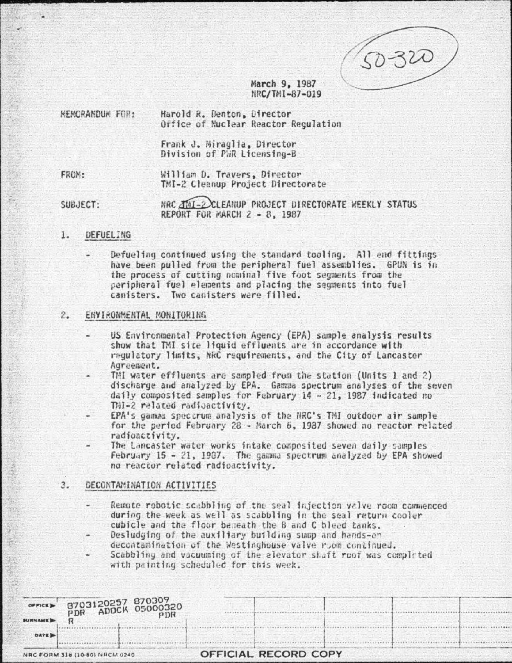50-320

. . . . . . . . .

## March 9, 1987 NRC/TMI-87-019

| <b>HEMORANDUM FOR:</b> | Harold R. Denton, Director<br>Office of Nuclear Reactor Regulation |  |
|------------------------|--------------------------------------------------------------------|--|
|                        | Frank J. Miraglia, Director<br>Division of PWR Licensing-B         |  |

FROM:

William D. Travers, Director TMI-2 Cleanup Project Directorate

NRC JAI-2 CLEANUP PROJECT DIRECTORATE WEEKLY STATUS SUBJECT: REPORT FOR MARCH 2 - 8, 1987

### 1. **DEFUELING**

Defueling continued using the standard tooling. All end fittings have been pulled from the peripheral fuel assemblies. GPUN is in the process of cutting nominal five foot segments from the peripheral fuel elements and placing the segments into fuel canisters. Two canisters were filled.

## 2. ENVIRONMENTAL MONITORING

- US Environmental Protection Agency (EPA) sample analysis results show that TMI site liquid effluents are in accordance with requlatory limits, NRC requirements, and the City of Lancaster Agreement.
- TMI water effluents are sampled from the station (Units 1 and 2) discharge and analyzed by EPA. Gamma spectrum analyses of the seven daily composited samples for February 14 - 21, 1987 indicated no TMI-2 related radioactivity.
- EPA's gamma speccrum analysis of the NRC's TMI outdoor air sample for the period February 28 - March 6, 1987 showed no reactor related radioactivity.
- The Lancaster water works intake composited seven daily samples February 15 - 21, 1987. The gamma spectrum analyzed by EPA showed no reactor related radioactivity.

## $3.$ DECONTAMINATION ACTIVITIES

- Remote robotic scabbling of the seal injection valve room commenced during the week as well as scabbling in the seal return cooler cubicle and the floor beneath the B and C bleed tanks.
- Desludging of the auxiliary building sump and hands-on decontamination of the Westinghouse valve room continued.
- Scabbling and vacuuming of the elevator shaft roof was completed with painting scheduled for this week.

|                | orncs> 8703120257 870309<br>PDR ADOCK 05000320 |                      |  |  |
|----------------|------------------------------------------------|----------------------|--|--|
| <b>BURNAME</b> |                                                |                      |  |  |
| DATE >         |                                                |                      |  |  |
|                | NRC FORM 318 (10-80) NRCM 0240                 | OFFICIAL RECORD COPY |  |  |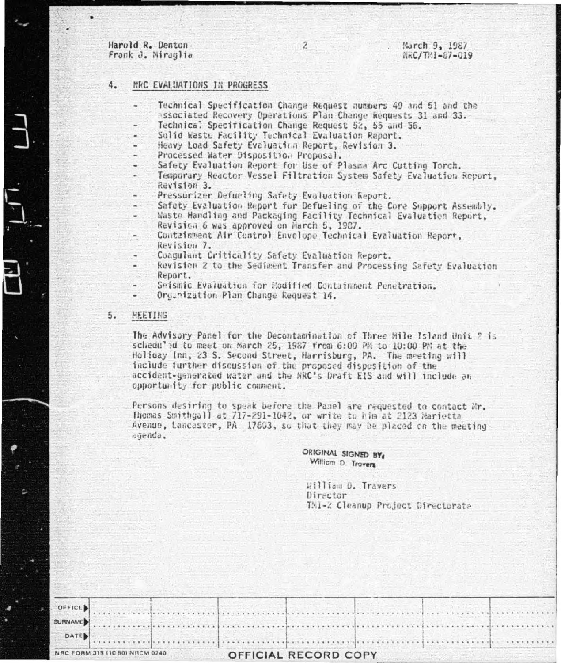Harold R. Denton Frank J. Miraglia

#### 4. MRC EVALUATIONS IN PROGRESS

Technical Specification Change Request numbers 49 and 51 and the associated Recovery Operations Plan Change Requests 31 and 33.

 $\overline{2}$ 

- Technical Specification Change Request 52, 55 and 56.
- Solid Waste Facility Technical Evaluation Report.
- Heavy Load Safety Evaluation Report, Revision 3.
- Processed Water Disposition Proposal.
- Safety Evaluation Report for Use of Plasma Arc Cutting Torch.
- Temporary Reactor Vessel Filtration System Safety Evaluation Report, Revision 3.
- Pressurizer Defueling Safety Evaluation Report.
- Safety Evaluation Report for Defueling of the Core Support Assembly.
- Waste Handling and Packaging Facility Technical Evaluation Report. Revision 6 was approved on March 5, 1987.
- Containment Air Control Envelope Technical Evaluation Report, Revision 7.
- Coagulant Criticality Safety Evaluation Report.
- Revision 2 to the Sediment Transfer and Processing Safety Evaluation Report.
- Seismic Evaluation for Hodified Containment Penetration.
- Organization Plan Change Request 14.

### 5. **REETING**

The Advisory Panel for the Decontamination of Three Hile Island Unit 2 is schedu'ed to meet on March 25, 1987 from 6:00 PK to 10:00 PK at the Holiday Inn, 23 S. Second Street, Harrisburg, PA. The meeting will include further discussion of the proposed disposition of the accident-generated water and the NRC's Draft EIS and will include an opportunity for public comment.

Persons desiring to speak before the Panel are requested to contact Mr. Thomas Smithgall at 717-291-1042, or write to him at 2123 Marietta Avenue, Lancaster, PA 17603, so that they may be placed on the meeting agenda.

> ORIGINAL SIGNED BY William D. Travers

William D. Travers Director TMI-2 Cleanup Project Directorate

|                               | DATE. |  |  |  |  |  |  |  |  |
|-------------------------------|-------|--|--|--|--|--|--|--|--|
|                               |       |  |  |  |  |  |  |  |  |
|                               |       |  |  |  |  |  |  |  |  |
| NOC COOM 118 HC 801 NUCH 0240 |       |  |  |  |  |  |  |  |  |

OFFICE **SURNAME** 

# OFFICIAL RECORD COPY